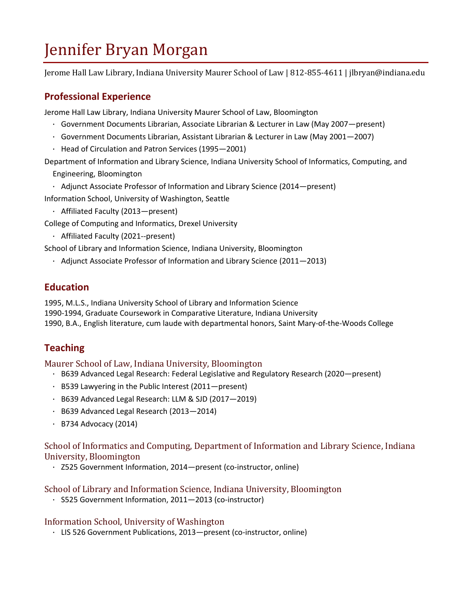# Jennifer Bryan Morgan

Jerome Hall Law Library, Indiana University Maurer School of Law | 812-855-4611 | jlbryan@indiana.edu

## **Professional Experience**

Jerome Hall Law Library, Indiana University Maurer School of Law, Bloomington

- · Government Documents Librarian, Associate Librarian & Lecturer in Law (May 2007—present)
- · Government Documents Librarian, Assistant Librarian & Lecturer in Law (May 2001—2007)
- · Head of Circulation and Patron Services (1995—2001)

Department of Information and Library Science, Indiana University School of Informatics, Computing, and Engineering, Bloomington

· Adjunct Associate Professor of Information and Library Science (2014—present) Information School, University of Washington, Seattle

· Affiliated Faculty (2013—present)

College of Computing and Informatics, Drexel University

· Affiliated Faculty (2021--present)

School of Library and Information Science, Indiana University, Bloomington

· Adjunct Associate Professor of Information and Library Science (2011—2013)

## **Education**

1995, M.L.S., Indiana University School of Library and Information Science 1990-1994, Graduate Coursework in Comparative Literature, Indiana University 1990, B.A., English literature, cum laude with departmental honors, Saint Mary-of-the-Woods College

## **Teaching**

#### Maurer School of Law, Indiana University, Bloomington

- · B639 Advanced Legal Research: Federal Legislative and Regulatory Research (2020—present)
- · B539 Lawyering in the Public Interest (2011—present)
- · B639 Advanced Legal Research: LLM & SJD (2017—2019)
- · B639 Advanced Legal Research (2013—2014)
- · B734 Advocacy (2014)

#### School of Informatics and Computing, Department of Information and Library Science, Indiana University, Bloomington

· Z525 Government Information, 2014—present (co-instructor, online)

#### School of Library and Information Science, Indiana University, Bloomington

· S525 Government Information, 2011—2013 (co-instructor)

#### Information School, University of Washington

· LIS 526 Government Publications, 2013—present (co-instructor, online)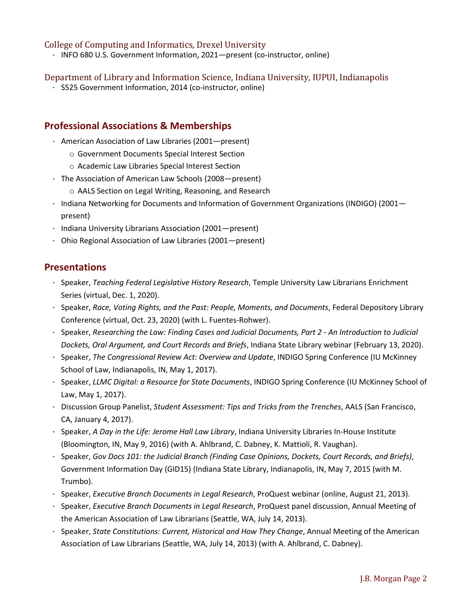#### College of Computing and Informatics, Drexel University

· INFO 680 U.S. Government Information, 2021—present (co-instructor, online)

#### Department of Library and Information Science, Indiana University, IUPUI, Indianapolis

· S525 Government Information, 2014 (co-instructor, online)

#### **Professional Associations & Memberships**

- · American Association of Law Libraries (2001—present)
	- o Government Documents Special Interest Section
	- o Academic Law Libraries Special Interest Section
- · The Association of American Law Schools (2008—present)
	- o AALS Section on Legal Writing, Reasoning, and Research
- · Indiana Networking for Documents and Information of Government Organizations (INDIGO) (2001 present)
- · Indiana University Librarians Association (2001—present)
- · Ohio Regional Association of Law Libraries (2001—present)

#### **Presentations**

- · Speaker, *Teaching Federal Legislative History Research*, Temple University Law Librarians Enrichment Series (virtual, Dec. 1, 2020).
- · Speaker, *Race, Voting Rights, and the Past: People, Moments, and Documents*, Federal Depository Library Conference (virtual, Oct. 23, 2020) (with L. Fuentes-Rohwer).
- · Speaker, *Researching the Law: Finding Cases and Judicial Documents, Part 2 - An Introduction to Judicial Dockets, Oral Argument, and Court Records and Briefs*, Indiana State Library webinar (February 13, 2020).
- · Speaker, *The Congressional Review Act: Overview and Update*, INDIGO Spring Conference (IU McKinney School of Law, Indianapolis, IN, May 1, 2017).
- · Speaker, *LLMC Digital: a Resource for State Documents*, INDIGO Spring Conference (IU McKinney School of Law, May 1, 2017).
- · Discussion Group Panelist, *Student Assessment: Tips and Tricks from the Trenches*, AALS (San Francisco, CA, January 4, 2017).
- · Speaker, *A Day in the Life: Jerome Hall Law Library*, Indiana University Libraries In-House Institute (Bloomington, IN, May 9, 2016) (with A. Ahlbrand, C. Dabney, K. Mattioli, R. Vaughan).
- · Speaker, *Gov Docs 101: the Judicial Branch (Finding Case Opinions, Dockets, Court Records, and Briefs)*, Government Information Day (GID15) (Indiana State Library, Indianapolis, IN, May 7, 2015 (with M. Trumbo).
- · Speaker, *Executive Branch Documents in Legal Research*, ProQuest webinar (online, August 21, 2013).
- · Speaker, *Executive Branch Documents in Legal Research*, ProQuest panel discussion, Annual Meeting of the American Association of Law Librarians (Seattle, WA, July 14, 2013).
- · Speaker, *State Constitutions: Current, Historical and How They Change*, Annual Meeting of the American Association of Law Librarians (Seattle, WA, July 14, 2013) (with A. Ahlbrand, C. Dabney).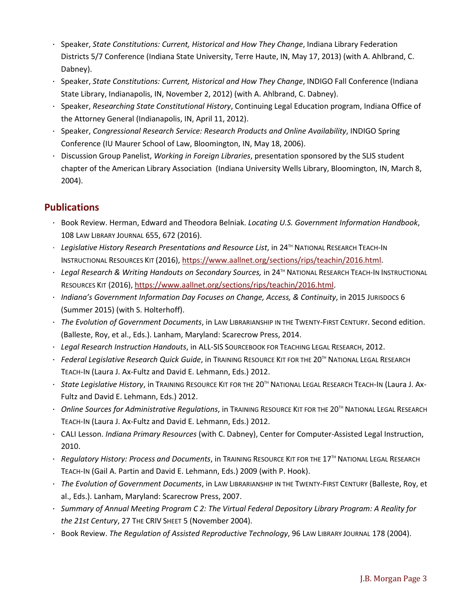- · Speaker, *State Constitutions: Current, Historical and How They Change*, Indiana Library Federation Districts 5/7 Conference (Indiana State University, Terre Haute, IN, May 17, 2013) (with A. Ahlbrand, C. Dabney).
- · Speaker, *State Constitutions: Current, Historical and How They Change*, INDIGO Fall Conference (Indiana State Library, Indianapolis, IN, November 2, 2012) (with A. Ahlbrand, C. Dabney).
- · Speaker, *Researching State Constitutional History*, Continuing Legal Education program, Indiana Office of the Attorney General (Indianapolis, IN, April 11, 2012).
- · Speaker, *Congressional Research Service: Research Products and Online Availability*, INDIGO Spring Conference (IU Maurer School of Law, Bloomington, IN, May 18, 2006).
- · Discussion Group Panelist, *Working in Foreign Libraries*, presentation sponsored by the SLIS student chapter of the American Library Association (Indiana University Wells Library, Bloomington, IN, March 8, 2004).

## **Publications**

- · Book Review. Herman, Edward and Theodora Belniak. *Locating U.S. Government Information Handbook*, 108 LAW LIBRARY JOURNAL 655, 672 (2016).
- · *Legislative History Research Presentations and Resource List*, in 24TH NATIONAL RESEARCH TEACH-IN INSTRUCTIONAL RESOURCES KIT (2016), [https://www.aallnet.org/sections/rips/teachin/2016.html.](https://www.aallnet.org/sections/rips/teachin/2016.html)
- · *Legal Research & Writing Handouts on Secondary Sources,* in 24TH NATIONAL RESEARCH TEACH-IN INSTRUCTIONAL RESOURCES KIT (2016), [https://www.aallnet.org/sections/rips/teachin/2016.html.](https://www.aallnet.org/sections/rips/teachin/2016.html)
- · *Indiana's Government Information Day Focuses on Change, Access, & Continuity*, in 2015 JURISDOCS 6 (Summer 2015) (with S. Holterhoff).
- · *The Evolution of Government Documents*, in LAW LIBRARIANSHIP IN THE TWENTY-FIRST CENTURY. Second edition. (Balleste, Roy, et al., Eds.). Lanham, Maryland: Scarecrow Press, 2014.
- · *Legal Research Instruction Handouts*, in ALL-SIS SOURCEBOOK FOR TEACHING LEGAL RESEARCH, 2012.
- · *Federal Legislative Research Quick Guide*, in TRAINING RESOURCE KIT FOR THE 20TH NATIONAL LEGAL RESEARCH TEACH-IN (Laura J. Ax-Fultz and David E. Lehmann, Eds.) 2012.
- · *State Legislative History*, in TRAINING RESOURCE KIT FOR THE 20TH NATIONAL LEGAL RESEARCH TEACH-IN (Laura J. Ax-Fultz and David E. Lehmann, Eds.) 2012.
- · *Online Sources for Administrative Regulations*, in TRAINING RESOURCE KIT FOR THE 20TH NATIONAL LEGAL RESEARCH TEACH-IN (Laura J. Ax-Fultz and David E. Lehmann, Eds.) 2012.
- · CALI Lesson. *Indiana Primary Resources* (with C. Dabney), Center for Computer-Assisted Legal Instruction, 2010.
- · *Regulatory History: Process and Documents*, in TRAINING RESOURCE KIT FOR THE 17TH NATIONAL LEGAL RESEARCH TEACH-IN (Gail A. Partin and David E. Lehmann, Eds.) 2009 (with P. Hook).
- · *The Evolution of Government Documents*, in LAW LIBRARIANSHIP IN THE TWENTY-FIRST CENTURY (Balleste, Roy, et al., Eds.). Lanham, Maryland: Scarecrow Press, 2007.
- · *Summary of Annual Meeting Program C 2: The Virtual Federal Depository Library Program: A Reality for the 21st Century*, 27 THE CRIV SHEET 5 (November 2004).
- · Book Review. *The Regulation of Assisted Reproductive Technology*, 96 LAW LIBRARY JOURNAL 178 (2004).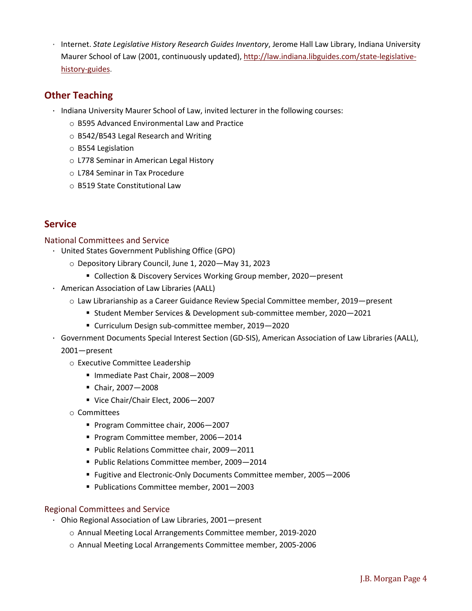· Internet. *State Legislative History Research Guides Inventory*, Jerome Hall Law Library, Indiana University Maurer School of Law (2001, continuously updated), [http://law.indiana.libguides.com/state-legislative](http://law.indiana.libguides.com/state-legislative-history-guides)[history-guides.](http://law.indiana.libguides.com/state-legislative-history-guides)

### **Other Teaching**

- · Indiana University Maurer School of Law, invited lecturer in the following courses:
	- o B595 Advanced Environmental Law and Practice
	- o B542/B543 Legal Research and Writing
	- o B554 Legislation
	- o L778 Seminar in American Legal History
	- o L784 Seminar in Tax Procedure
	- o B519 State Constitutional Law

### **Service**

#### National Committees and Service

- · United States Government Publishing Office (GPO)
	- o Depository Library Council, June 1, 2020—May 31, 2023
		- Collection & Discovery Services Working Group member, 2020-present
- · American Association of Law Libraries (AALL)
	- o Law Librarianship as a Career Guidance Review Special Committee member, 2019—present
		- Student Member Services & Development sub-committee member, 2020-2021
		- Curriculum Design sub-committee member, 2019—2020
- · Government Documents Special Interest Section (GD-SIS), American Association of Law Libraries (AALL), 2001—present
	- o Executive Committee Leadership
		- Immediate Past Chair, 2008-2009
		- Chair, 2007—2008
		- Vice Chair/Chair Elect, 2006-2007
	- o Committees
		- Program Committee chair, 2006-2007
		- Program Committee member, 2006-2014
		- Public Relations Committee chair, 2009-2011
		- **Public Relations Committee member, 2009-2014**
		- Fugitive and Electronic-Only Documents Committee member, 2005—2006
		- **Publications Committee member, 2001-2003**

#### Regional Committees and Service

- · Ohio Regional Association of Law Libraries, 2001—present
	- o Annual Meeting Local Arrangements Committee member, 2019-2020
	- o Annual Meeting Local Arrangements Committee member, 2005-2006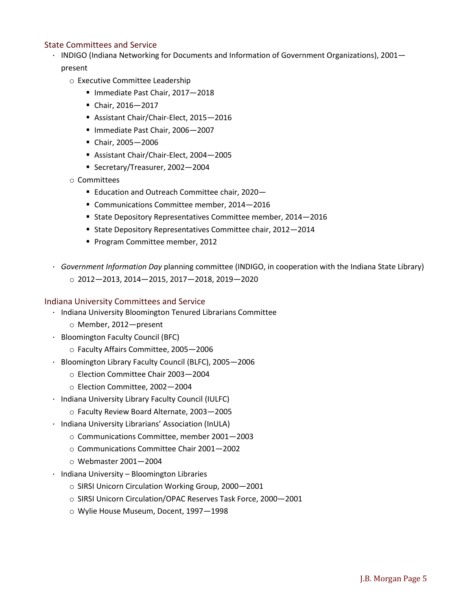#### State Committees and Service

- · INDIGO (Indiana Networking for Documents and Information of Government Organizations), 2001 present
	- o Executive Committee Leadership
		- Immediate Past Chair, 2017-2018
		- Chair, 2016—2017
		- Assistant Chair/Chair-Elect, 2015—2016
		- Immediate Past Chair, 2006–2007
		- Chair, 2005—2006
		- Assistant Chair/Chair-Elect, 2004—2005
		- Secretary/Treasurer, 2002-2004
	- o Committees
		- **Education and Outreach Committee chair, 2020**-
		- Communications Committee member, 2014-2016
		- State Depository Representatives Committee member, 2014—2016
		- State Depository Representatives Committee chair, 2012—2014
		- Program Committee member, 2012
- · *Government Information Day* planning committee (INDIGO, in cooperation with the Indiana State Library) o 2012—2013, 2014—2015, 2017—2018, 2019—2020

#### Indiana University Committees and Service

- · Indiana University Bloomington Tenured Librarians Committee
	- o Member, 2012—present
- · Bloomington Faculty Council (BFC)
	- o Faculty Affairs Committee, 2005—2006
- · Bloomington Library Faculty Council (BLFC), 2005—2006
	- o Election Committee Chair 2003—2004
	- o Election Committee, 2002—2004
- · Indiana University Library Faculty Council (IULFC)
	- o Faculty Review Board Alternate, 2003—2005
- · Indiana University Librarians' Association (InULA)
	- o Communications Committee, member 2001—2003
	- o Communications Committee Chair 2001—2002
	- o Webmaster 2001—2004
- · Indiana University Bloomington Libraries
	- o SIRSI Unicorn Circulation Working Group, 2000—2001
	- o SIRSI Unicorn Circulation/OPAC Reserves Task Force, 2000—2001
	- o Wylie House Museum, Docent, 1997—1998